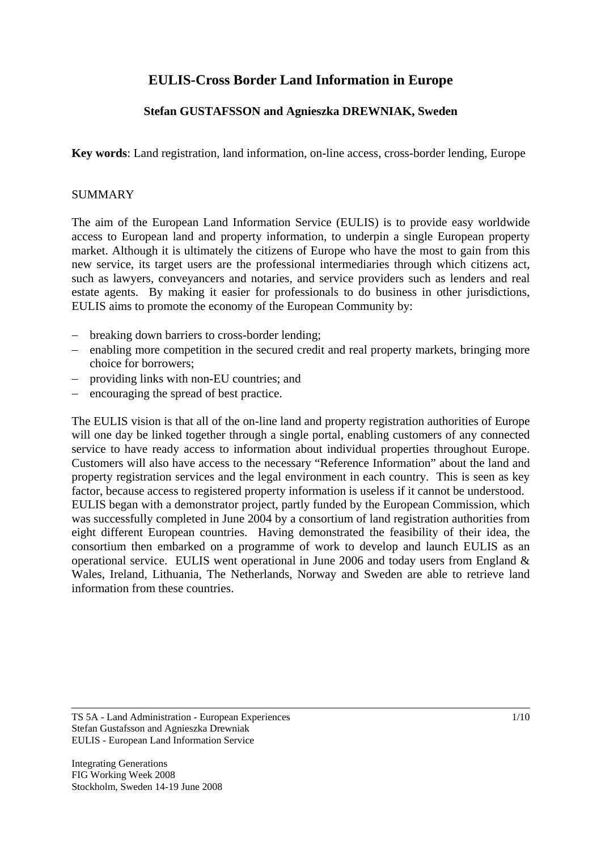# **EULIS-Cross Border Land Information in Europe**

# **Stefan GUSTAFSSON and Agnieszka DREWNIAK, Sweden**

**Key words**: Land registration, land information, on-line access, cross-border lending, Europe

#### SUMMARY

The aim of the European Land Information Service (EULIS) is to provide easy worldwide access to European land and property information, to underpin a single European property market. Although it is ultimately the citizens of Europe who have the most to gain from this new service, its target users are the professional intermediaries through which citizens act, such as lawyers, conveyancers and notaries, and service providers such as lenders and real estate agents. By making it easier for professionals to do business in other jurisdictions, EULIS aims to promote the economy of the European Community by:

- − breaking down barriers to cross-border lending;
- − enabling more competition in the secured credit and real property markets, bringing more choice for borrowers;
- providing links with non-EU countries; and
- encouraging the spread of best practice.

The EULIS vision is that all of the on-line land and property registration authorities of Europe will one day be linked together through a single portal, enabling customers of any connected service to have ready access to information about individual properties throughout Europe. Customers will also have access to the necessary "Reference Information" about the land and property registration services and the legal environment in each country. This is seen as key factor, because access to registered property information is useless if it cannot be understood. EULIS began with a demonstrator project, partly funded by the European Commission, which was successfully completed in June 2004 by a consortium of land registration authorities from eight different European countries. Having demonstrated the feasibility of their idea, the consortium then embarked on a programme of work to develop and launch EULIS as an operational service. EULIS went operational in June 2006 and today users from England & Wales, Ireland, Lithuania, The Netherlands, Norway and Sweden are able to retrieve land information from these countries.

TS 5A - Land Administration - European Experiences Stefan Gustafsson and Agnieszka Drewniak EULIS - European Land Information Service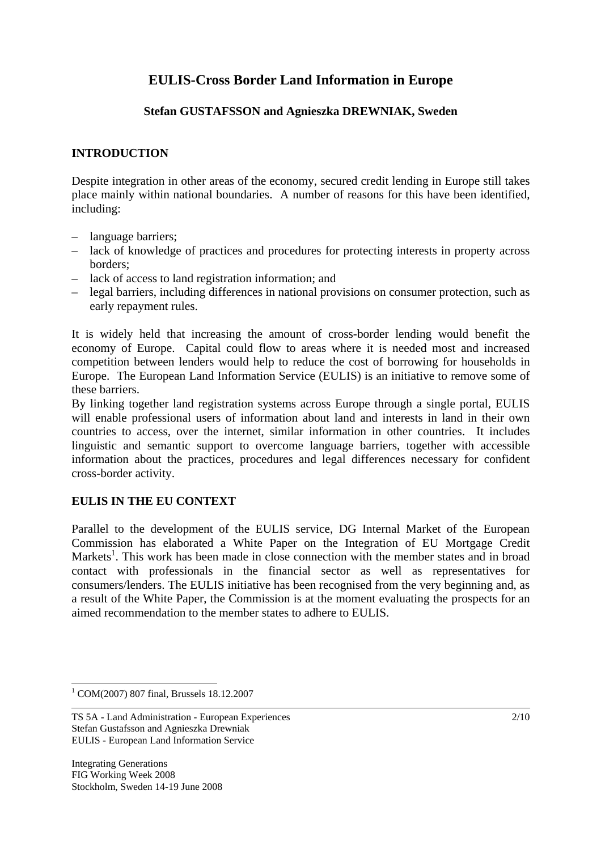# **EULIS-Cross Border Land Information in Europe**

## **Stefan GUSTAFSSON and Agnieszka DREWNIAK, Sweden**

#### **INTRODUCTION**

Despite integration in other areas of the economy, secured credit lending in Europe still takes place mainly within national boundaries. A number of reasons for this have been identified, including:

- language barriers;
- lack of knowledge of practices and procedures for protecting interests in property across borders;
- lack of access to land registration information; and
- legal barriers, including differences in national provisions on consumer protection, such as early repayment rules.

It is widely held that increasing the amount of cross-border lending would benefit the economy of Europe. Capital could flow to areas where it is needed most and increased competition between lenders would help to reduce the cost of borrowing for households in Europe. The European Land Information Service (EULIS) is an initiative to remove some of these barriers.

By linking together land registration systems across Europe through a single portal, EULIS will enable professional users of information about land and interests in land in their own countries to access, over the internet, similar information in other countries. It includes linguistic and semantic support to overcome language barriers, together with accessible information about the practices, procedures and legal differences necessary for confident cross-border activity.

## **EULIS IN THE EU CONTEXT**

Parallel to the development of the EULIS service, DG Internal Market of the European Commission has elaborated a White Paper on the Integration of EU Mortgage Credit Markets<sup>1</sup>. This work has been made in close connection with the member states and in broad contact with professionals in the financial sector as well as representatives for consumers/lenders. The EULIS initiative has been recognised from the very beginning and, as a result of the White Paper, the Commission is at the moment evaluating the prospects for an aimed recommendation to the member states to adhere to EULIS.

 $\overline{a}$ 

<sup>1</sup> COM(2007) 807 final, Brussels 18.12.2007

TS 5A - Land Administration - European Experiences Stefan Gustafsson and Agnieszka Drewniak EULIS - European Land Information Service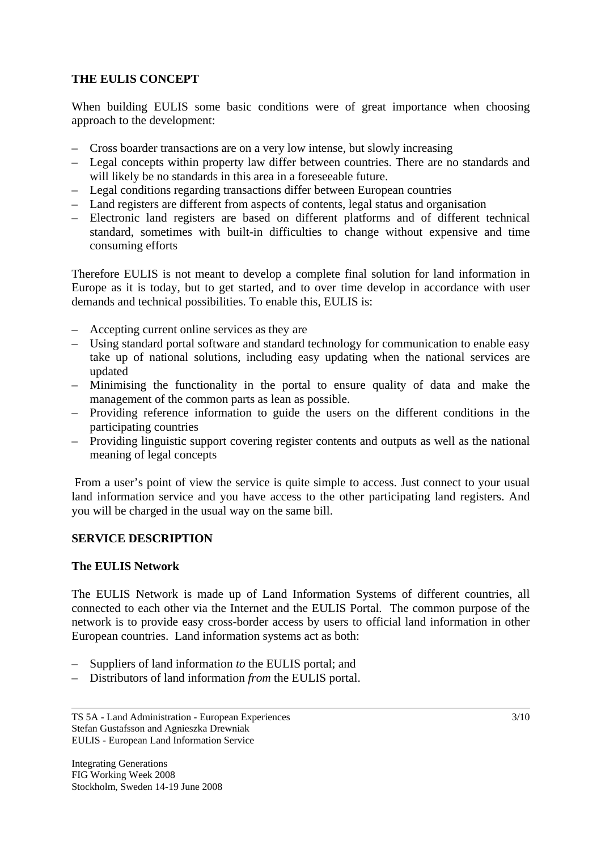# **THE EULIS CONCEPT**

When building EULIS some basic conditions were of great importance when choosing approach to the development:

- Cross boarder transactions are on a very low intense, but slowly increasing
- Legal concepts within property law differ between countries. There are no standards and will likely be no standards in this area in a foreseeable future.
- Legal conditions regarding transactions differ between European countries
- Land registers are different from aspects of contents, legal status and organisation
- Electronic land registers are based on different platforms and of different technical standard, sometimes with built-in difficulties to change without expensive and time consuming efforts

Therefore EULIS is not meant to develop a complete final solution for land information in Europe as it is today, but to get started, and to over time develop in accordance with user demands and technical possibilities. To enable this, EULIS is:

- Accepting current online services as they are
- Using standard portal software and standard technology for communication to enable easy take up of national solutions, including easy updating when the national services are updated
- Minimising the functionality in the portal to ensure quality of data and make the management of the common parts as lean as possible.
- Providing reference information to guide the users on the different conditions in the participating countries
- Providing linguistic support covering register contents and outputs as well as the national meaning of legal concepts

 From a user's point of view the service is quite simple to access. Just connect to your usual land information service and you have access to the other participating land registers. And you will be charged in the usual way on the same bill.

## **SERVICE DESCRIPTION**

#### **The EULIS Network**

The EULIS Network is made up of Land Information Systems of different countries, all connected to each other via the Internet and the EULIS Portal. The common purpose of the network is to provide easy cross-border access by users to official land information in other European countries. Land information systems act as both:

- Suppliers of land information *to* the EULIS portal; and
- Distributors of land information *from* the EULIS portal.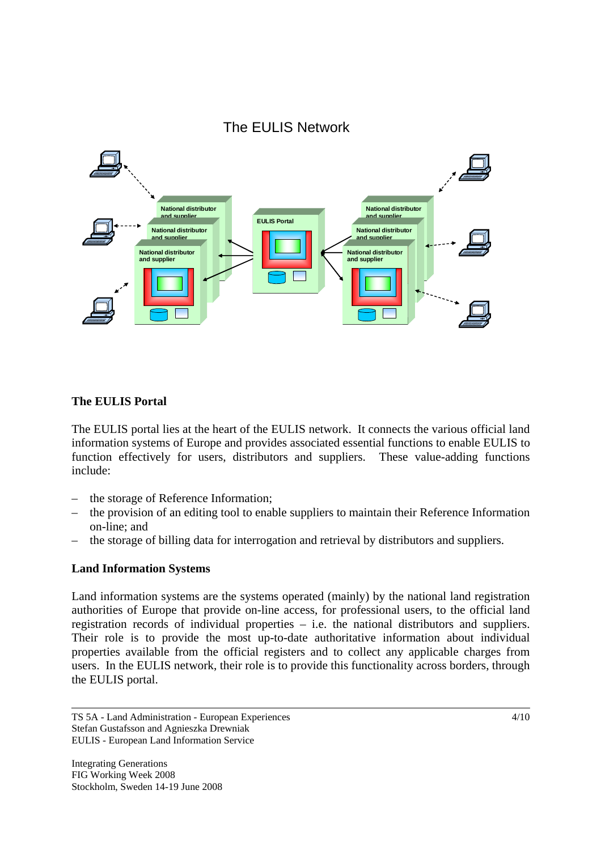

# **The EULIS Portal**

The EULIS portal lies at the heart of the EULIS network. It connects the various official land information systems of Europe and provides associated essential functions to enable EULIS to function effectively for users, distributors and suppliers. These value-adding functions include:

- the storage of Reference Information;
- the provision of an editing tool to enable suppliers to maintain their Reference Information on-line; and
- the storage of billing data for interrogation and retrieval by distributors and suppliers.

## **Land Information Systems**

Land information systems are the systems operated (mainly) by the national land registration authorities of Europe that provide on-line access, for professional users, to the official land registration records of individual properties – i.e. the national distributors and suppliers. Their role is to provide the most up-to-date authoritative information about individual properties available from the official registers and to collect any applicable charges from users. In the EULIS network, their role is to provide this functionality across borders, through the EULIS portal.

TS 5A - Land Administration - European Experiences Stefan Gustafsson and Agnieszka Drewniak EULIS - European Land Information Service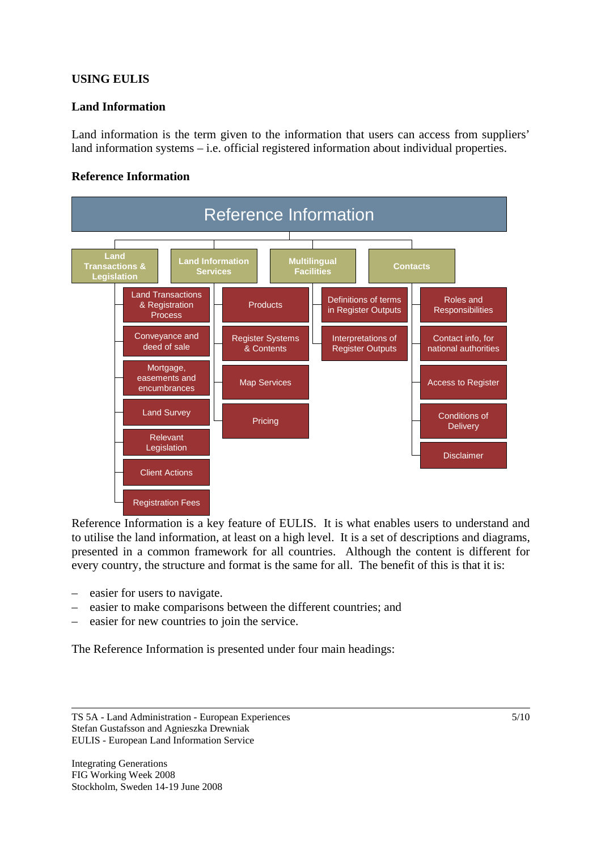# **USING EULIS**

## **Land Information**

Land information is the term given to the information that users can access from suppliers' land information systems – i.e. official registered information about individual properties.

## **Reference Information**



Reference Information is a key feature of EULIS. It is what enables users to understand and to utilise the land information, at least on a high level. It is a set of descriptions and diagrams, presented in a common framework for all countries. Although the content is different for every country, the structure and format is the same for all. The benefit of this is that it is:

- easier for users to navigate.
- easier to make comparisons between the different countries; and
- easier for new countries to join the service.

The Reference Information is presented under four main headings:

TS 5A - Land Administration - European Experiences Stefan Gustafsson and Agnieszka Drewniak EULIS - European Land Information Service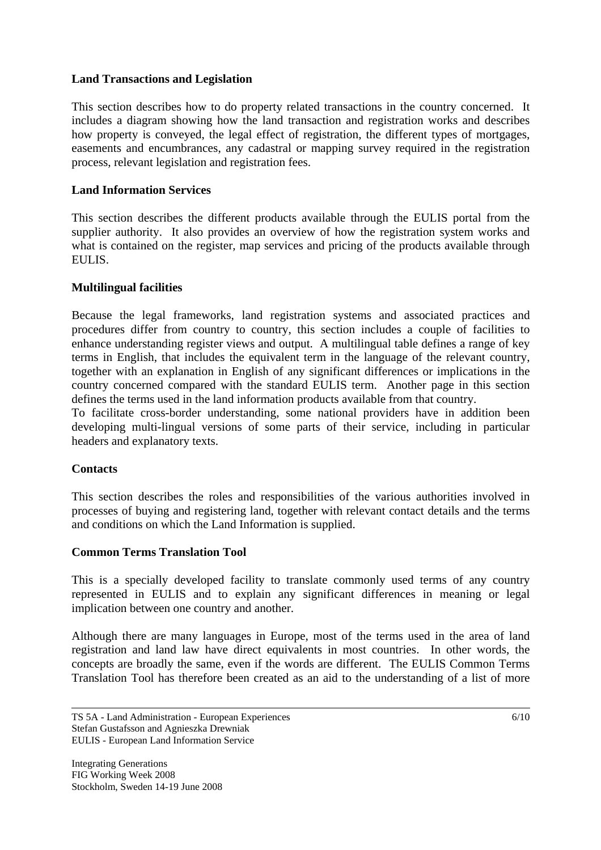## **Land Transactions and Legislation**

This section describes how to do property related transactions in the country concerned. It includes a diagram showing how the land transaction and registration works and describes how property is conveyed, the legal effect of registration, the different types of mortgages, easements and encumbrances, any cadastral or mapping survey required in the registration process, relevant legislation and registration fees.

## **Land Information Services**

This section describes the different products available through the EULIS portal from the supplier authority. It also provides an overview of how the registration system works and what is contained on the register, map services and pricing of the products available through EULIS.

## **Multilingual facilities**

Because the legal frameworks, land registration systems and associated practices and procedures differ from country to country, this section includes a couple of facilities to enhance understanding register views and output. A multilingual table defines a range of key terms in English, that includes the equivalent term in the language of the relevant country, together with an explanation in English of any significant differences or implications in the country concerned compared with the standard EULIS term. Another page in this section defines the terms used in the land information products available from that country.

To facilitate cross-border understanding, some national providers have in addition been developing multi-lingual versions of some parts of their service, including in particular headers and explanatory texts.

## **Contacts**

This section describes the roles and responsibilities of the various authorities involved in processes of buying and registering land, together with relevant contact details and the terms and conditions on which the Land Information is supplied.

## **Common Terms Translation Tool**

This is a specially developed facility to translate commonly used terms of any country represented in EULIS and to explain any significant differences in meaning or legal implication between one country and another.

Although there are many languages in Europe, most of the terms used in the area of land registration and land law have direct equivalents in most countries. In other words, the concepts are broadly the same, even if the words are different. The EULIS Common Terms Translation Tool has therefore been created as an aid to the understanding of a list of more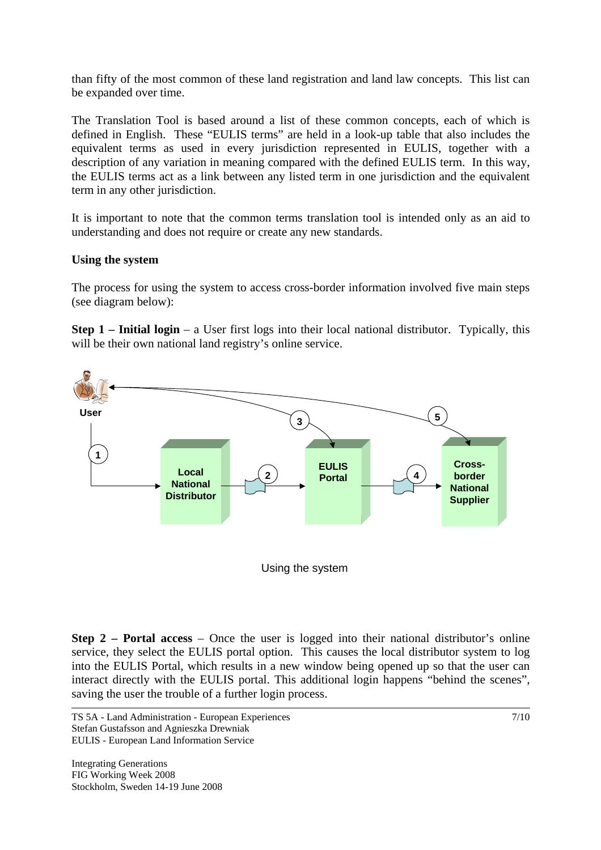than fifty of the most common of these land registration and land law concepts. This list can be expanded over time.

The Translation Tool is based around a list of these common concepts, each of which is defined in English. These "EULIS terms" are held in a look-up table that also includes the equivalent terms as used in every jurisdiction represented in EULIS, together with a description of any variation in meaning compared with the defined EULIS term. In this way, the EULIS terms act as a link between any listed term in one jurisdiction and the equivalent term in any other jurisdiction.

It is important to note that the common terms translation tool is intended only as an aid to understanding and does not require or create any new standards.

#### **Using the system**

The process for using the system to access cross-border information involved five main steps (see diagram below):

**Step 1 – Initial login** – a User first logs into their local national distributor. Typically, this will be their own national land registry's online service.



Using the system

**Step 2 – Portal access** – Once the user is logged into their national distributor's online service, they select the EULIS portal option. This causes the local distributor system to log into the EULIS Portal, which results in a new window being opened up so that the user can interact directly with the EULIS portal. This additional login happens "behind the scenes", saving the user the trouble of a further login process.

TS 5A - Land Administration - European Experiences Stefan Gustafsson and Agnieszka Drewniak EULIS - European Land Information Service

Integrating Generations FIG Working Week 2008 Stockholm, Sweden 14-19 June 2008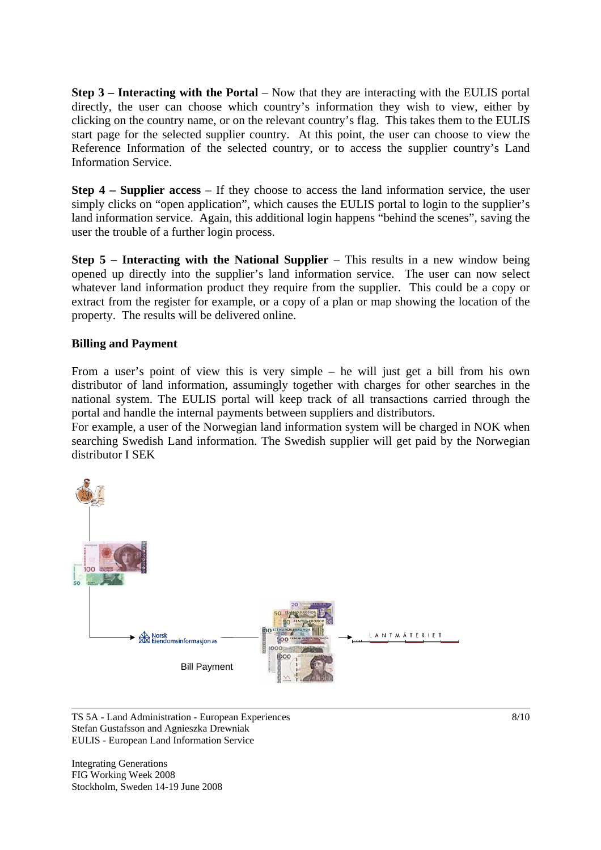**Step 3 – Interacting with the Portal** – Now that they are interacting with the EULIS portal directly, the user can choose which country's information they wish to view, either by clicking on the country name, or on the relevant country's flag. This takes them to the EULIS start page for the selected supplier country. At this point, the user can choose to view the Reference Information of the selected country, or to access the supplier country's Land Information Service.

**Step 4 – Supplier access** – If they choose to access the land information service, the user simply clicks on "open application", which causes the EULIS portal to login to the supplier's land information service. Again, this additional login happens "behind the scenes", saving the user the trouble of a further login process.

**Step 5 – Interacting with the National Supplier** – This results in a new window being opened up directly into the supplier's land information service. The user can now select whatever land information product they require from the supplier. This could be a copy or extract from the register for example, or a copy of a plan or map showing the location of the property. The results will be delivered online.

## **Billing and Payment**

From a user's point of view this is very simple – he will just get a bill from his own distributor of land information, assumingly together with charges for other searches in the national system. The EULIS portal will keep track of all transactions carried through the portal and handle the internal payments between suppliers and distributors.

For example, a user of the Norwegian land information system will be charged in NOK when searching Swedish Land information. The Swedish supplier will get paid by the Norwegian distributor I SEK



TS 5A - Land Administration - European Experiences Stefan Gustafsson and Agnieszka Drewniak EULIS - European Land Information Service

Integrating Generations FIG Working Week 2008 Stockholm, Sweden 14-19 June 2008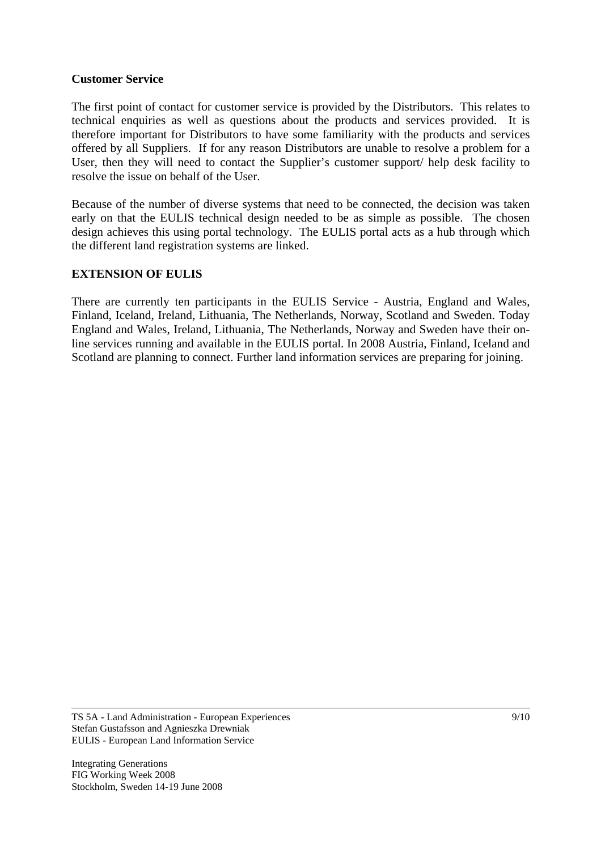#### **Customer Service**

The first point of contact for customer service is provided by the Distributors. This relates to technical enquiries as well as questions about the products and services provided. It is therefore important for Distributors to have some familiarity with the products and services offered by all Suppliers. If for any reason Distributors are unable to resolve a problem for a User, then they will need to contact the Supplier's customer support/ help desk facility to resolve the issue on behalf of the User.

Because of the number of diverse systems that need to be connected, the decision was taken early on that the EULIS technical design needed to be as simple as possible. The chosen design achieves this using portal technology. The EULIS portal acts as a hub through which the different land registration systems are linked.

## **EXTENSION OF EULIS**

There are currently ten participants in the EULIS Service - Austria, England and Wales, Finland, Iceland, Ireland, Lithuania, The Netherlands, Norway, Scotland and Sweden. Today England and Wales, Ireland, Lithuania, The Netherlands, Norway and Sweden have their online services running and available in the EULIS portal. In 2008 Austria, Finland, Iceland and Scotland are planning to connect. Further land information services are preparing for joining.